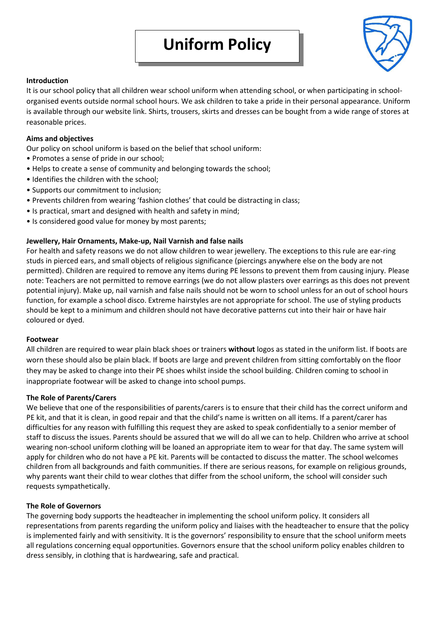

# **Introduction**

It is our school policy that all children wear school uniform when attending school, or when participating in schoolorganised events outside normal school hours. We ask children to take a pride in their personal appearance. Uniform is available through our website link. Shirts, trousers, skirts and dresses can be bought from a wide range of stores at reasonable prices.

## **Aims and objectives**

Our policy on school uniform is based on the belief that school uniform:

- Promotes a sense of pride in our school;
- Helps to create a sense of community and belonging towards the school;
- Identifies the children with the school;
- Supports our commitment to inclusion;
- Prevents children from wearing 'fashion clothes' that could be distracting in class;
- Is practical, smart and designed with health and safety in mind;
- Is considered good value for money by most parents;

# **Jewellery, Hair Ornaments, Make-up, Nail Varnish and false nails**

For health and safety reasons we do not allow children to wear jewellery. The exceptions to this rule are ear-ring studs in pierced ears, and small objects of religious significance (piercings anywhere else on the body are not permitted). Children are required to remove any items during PE lessons to prevent them from causing injury. Please note: Teachers are not permitted to remove earrings (we do not allow plasters over earrings as this does not prevent potential injury). Make up, nail varnish and false nails should not be worn to school unless for an out of school hours function, for example a school disco. Extreme hairstyles are not appropriate for school. The use of styling products should be kept to a minimum and children should not have decorative patterns cut into their hair or have hair coloured or dyed.

### **Footwear**

All children are required to wear plain black shoes or trainers **without** logos as stated in the uniform list. If boots are worn these should also be plain black. If boots are large and prevent children from sitting comfortably on the floor they may be asked to change into their PE shoes whilst inside the school building. Children coming to school in inappropriate footwear will be asked to change into school pumps.

### **The Role of Parents/Carers**

We believe that one of the responsibilities of parents/carers is to ensure that their child has the correct uniform and PE kit, and that it is clean, in good repair and that the child's name is written on all items. If a parent/carer has difficulties for any reason with fulfilling this request they are asked to speak confidentially to a senior member of staff to discuss the issues. Parents should be assured that we will do all we can to help. Children who arrive at school wearing non-school uniform clothing will be loaned an appropriate item to wear for that day. The same system will apply for children who do not have a PE kit. Parents will be contacted to discuss the matter. The school welcomes children from all backgrounds and faith communities. If there are serious reasons, for example on religious grounds, why parents want their child to wear clothes that differ from the school uniform, the school will consider such requests sympathetically.

### **The Role of Governors**

The governing body supports the headteacher in implementing the school uniform policy. It considers all representations from parents regarding the uniform policy and liaises with the headteacher to ensure that the policy is implemented fairly and with sensitivity. It is the governors' responsibility to ensure that the school uniform meets all regulations concerning equal opportunities. Governors ensure that the school uniform policy enables children to dress sensibly, in clothing that is hardwearing, safe and practical.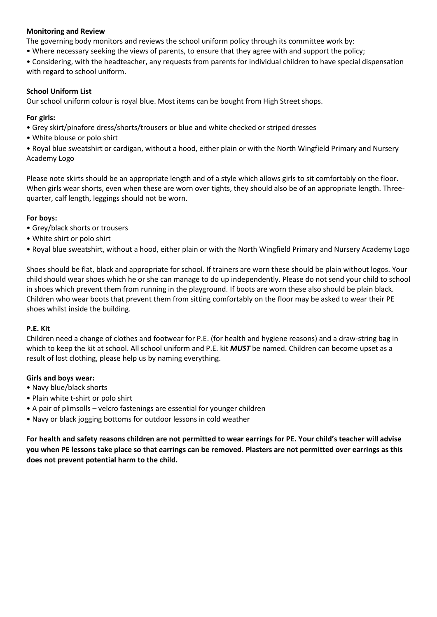# **Monitoring and Review**

The governing body monitors and reviews the school uniform policy through its committee work by:

• Where necessary seeking the views of parents, to ensure that they agree with and support the policy;

• Considering, with the headteacher, any requests from parents for individual children to have special dispensation with regard to school uniform.

# **School Uniform List**

Our school uniform colour is royal blue. Most items can be bought from High Street shops.

## **For girls:**

- Grey skirt/pinafore dress/shorts/trousers or blue and white checked or striped dresses
- White blouse or polo shirt

• Royal blue sweatshirt or cardigan, without a hood, either plain or with the North Wingfield Primary and Nursery Academy Logo

Please note skirts should be an appropriate length and of a style which allows girls to sit comfortably on the floor. When girls wear shorts, even when these are worn over tights, they should also be of an appropriate length. Threequarter, calf length, leggings should not be worn.

# **For boys:**

- Grey/black shorts or trousers
- White shirt or polo shirt
- Royal blue sweatshirt, without a hood, either plain or with the North Wingfield Primary and Nursery Academy Logo

Shoes should be flat, black and appropriate for school. If trainers are worn these should be plain without logos. Your child should wear shoes which he or she can manage to do up independently. Please do not send your child to school in shoes which prevent them from running in the playground. If boots are worn these also should be plain black. Children who wear boots that prevent them from sitting comfortably on the floor may be asked to wear their PE shoes whilst inside the building.

### **P.E. Kit**

Children need a change of clothes and footwear for P.E. (for health and hygiene reasons) and a draw-string bag in which to keep the kit at school. All school uniform and P.E. kit *MUST* be named. Children can become upset as a result of lost clothing, please help us by naming everything.

### **Girls and boys wear:**

- Navy blue/black shorts
- Plain white t-shirt or polo shirt
- A pair of plimsolls velcro fastenings are essential for younger children
- Navy or black jogging bottoms for outdoor lessons in cold weather

**For health and safety reasons children are not permitted to wear earrings for PE. Your child's teacher will advise you when PE lessons take place so that earrings can be removed. Plasters are not permitted over earrings as this does not prevent potential harm to the child.**